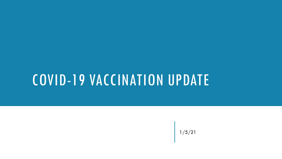# COVID-19 VACCINATION UPDATE

1/5/21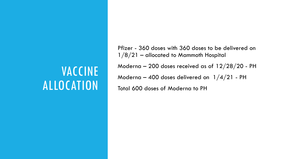# VACCINE ALLOCATION

Pfizer - 360 doses with 360 doses to be delivered on 1/8/21 – allocated to Mammoth Hospital Moderna – 200 doses received as of 12/28/20 - PH Moderna – 400 doses delivered on  $1/4/21$  - PH Total 600 doses of Moderna to PH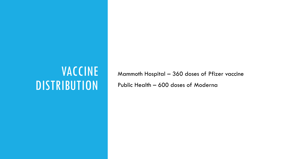## VACCINE **DISTRIBUTION**

Mammoth Hospital – 360 doses of Pfizer vaccine

Public Health – 600 doses of Moderna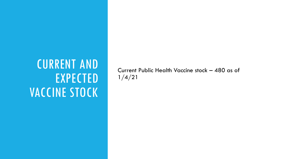## CURRENT AND EXPECTED VACCINE STOCK

Current Public Health Vaccine stock – 480 as of 1/4/21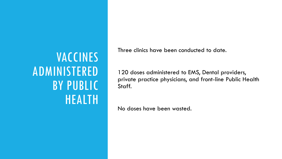## VACCINES ADMINISTERED BY PUBLIC HEALTH

Three clinics have been conducted to date.

120 doses administered to EMS, Dental providers, private practice physicians, and front-line Public Health Staff.

No doses have been wasted.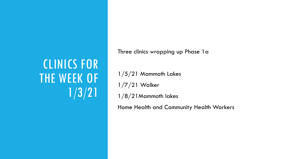# CLINICS FOR THE WEEK OF 1/3/21

Three clinics wrapping up Phase 1a

1/5/21 Mammoth Lakes

1/7/21 Walker

1/8/21Mammoth lakes

Home Health and Community Health Workers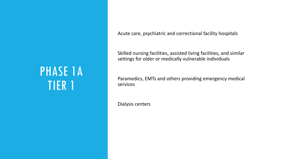#### PHASE 1A TIER 1

Acute care, psychiatric and correctional facility hospitals

Skilled nursing facilities, assisted living facilities, and similar settings for older or medically vulnerable individuals

Paramedics, EMTs and others providing emergency medical services

Dialysis centers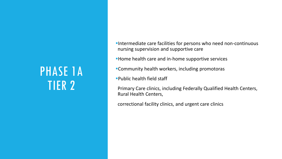#### PHASE 1A TIER 2

- ▪Intermediate care facilities for persons who need non-continuous nursing supervision and supportive care
- **Home health care and in-home supportive services**
- **EXECOMMUNITY health workers, including promotoras**
- ▪Public health field staff

Primary Care clinics, including Federally Qualified Health Centers, Rural Health Centers,

correctional facility clinics, and urgent care clinics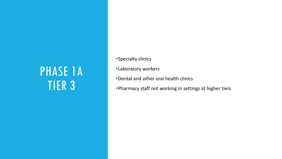### PHASE 1A TIER 3

- **Specialty clinics**
- **Laboratory workers**
- ▪Dental and other oral health clinics
- **Pharmacy staff not working in settings at higher tiers**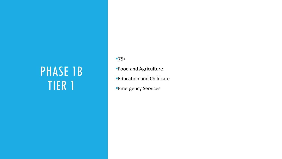### PHASE 1B TIER 1

- $-75+$
- ■Food and Agriculture
- **Education and Childcare**
- **Emergency Services**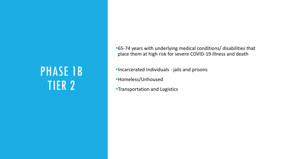### PHASE 1B TIER 2

- ▪65-74 years with underlying medical conditions/ disabilities that place them at high risk for severe COVID-19 illness and death
- ▪Incarcerated Individuals jails and prisons
- ▪Homeless/Unhoused
- **Transportation and Logistics**